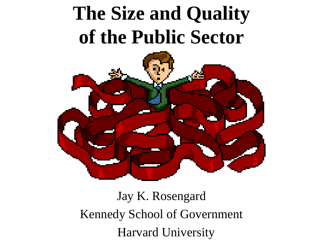# **The Size and Quality of the Public Sector**



Jay K. Rosengard Kennedy School of Government Harvard University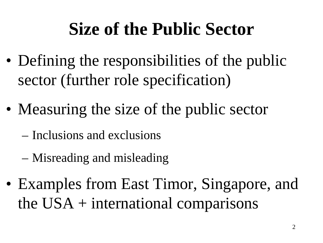### **Size of the Public Sector**

- Defining the responsibilities of the public sector (further role specification)
- Measuring the size of the public sector
	- Inclusions and exclusions
	- Misreading and misleading
- Examples from East Timor, Singapore, and the  $USA + international comparisons$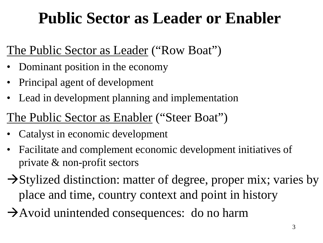### **Public Sector as Leader or Enabler**

#### The Public Sector as Leader ("Row Boat")

- Dominant position in the economy
- Principal agent of development
- Lead in development planning and implementation

#### The Public Sector as Enabler ("Steer Boat")

- Catalyst in economic development
- Facilitate and complement economic development initiatives of private & non-profit sectors
- $\rightarrow$  Stylized distinction: matter of degree, proper mix; varies by place and time, country context and point in history
- $\rightarrow$  Avoid unintended consequences: do no harm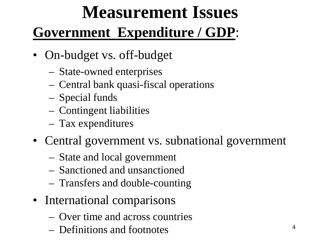# **Measurement Issues**

#### **Government Expenditure / GDP**:

- On-budget vs. off-budget
	- State-owned enterprises
	- Central bank quasi-fiscal operations
	- Special funds
	- Contingent liabilities
	- Tax expenditures
- Central government vs. subnational government
	- State and local government
	- Sanctioned and unsanctioned
	- Transfers and double-counting
- International comparisons
	- Over time and across countries
	- Definitions and footnotes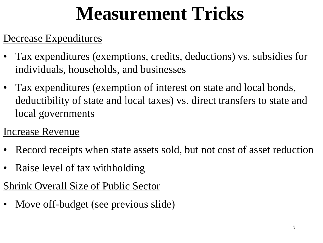# **Measurement Tricks**

#### Decrease Expenditures

- Tax expenditures (exemptions, credits, deductions) vs. subsidies for individuals, households, and businesses
- Tax expenditures (exemption of interest on state and local bonds, deductibility of state and local taxes) vs. direct transfers to state and local governments
- Increase Revenue
- Record receipts when state assets sold, but not cost of asset reduction
- Raise level of tax withholding

#### Shrink Overall Size of Public Sector

Move off-budget (see previous slide)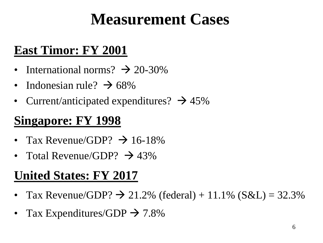### **Measurement Cases**

#### **East Timor: FY 2001**

- International norms?  $\rightarrow$  20-30%
- Indonesian rule?  $\rightarrow$  68%
- Current/anticipated expenditures?  $\rightarrow$  45%

#### **Singapore: FY 1998**

- Tax Revenue/GDP?  $\rightarrow$  16-18%
- Total Revenue/GDP?  $\rightarrow$  43%

#### **United States: FY 2017**

- Tax Revenue/GDP?  $\rightarrow$  21.2% (federal) + 11.1% (S&L) = 32.3%
- Tax Expenditures/GDP  $\rightarrow$  7.8%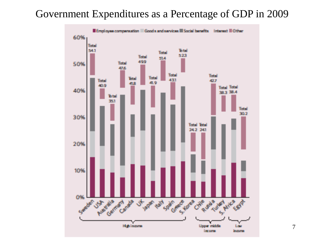#### Government Expenditures as a Percentage of GDP in 2009



7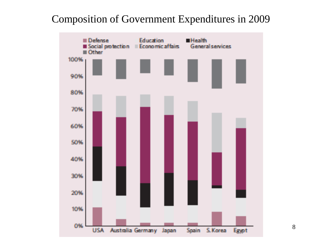#### Composition of Government Expenditures in 2009

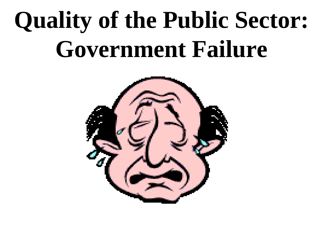# **Quality of the Public Sector: Government Failure**

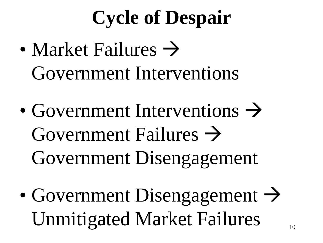# **Cycle of Despair**

- Market Failures  $\rightarrow$ Government Interventions
- Government Interventions  $\rightarrow$ Government Failures  $\rightarrow$ Government Disengagement
- Government Disengagement  $\rightarrow$ Unmitigated Market Failures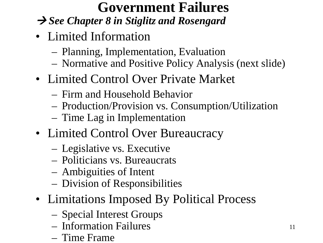#### **Government Failures**

#### *See Chapter 8 in Stiglitz and Rosengard*

- Limited Information
	- Planning, Implementation, Evaluation
	- Normative and Positive Policy Analysis (next slide)
- Limited Control Over Private Market
	- Firm and Household Behavior
	- Production/Provision vs. Consumption/Utilization
	- Time Lag in Implementation
- Limited Control Over Bureaucracy
	- Legislative vs. Executive
	- Politicians vs. Bureaucrats
	- Ambiguities of Intent
	- Division of Responsibilities
- Limitations Imposed By Political Process
	- Special Interest Groups
	- Information Failures
	- Time Frame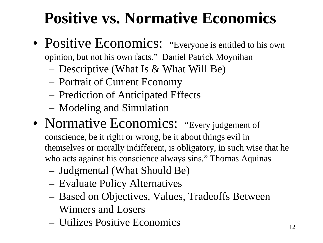### **Positive vs. Normative Economics**

- Positive Economics: "Everyone is entitled to his own opinion, but not his own facts." Daniel Patrick Moynihan
	- Descriptive (What Is & What Will Be)
	- Portrait of Current Economy
	- Prediction of Anticipated Effects
	- Modeling and Simulation
- Normative Economics: "Every judgement of conscience, be it right or wrong, be it about things evil in themselves or morally indifferent, is obligatory, in such wise that he who acts against his conscience always sins." Thomas Aquinas
	- Judgmental (What Should Be)
	- Evaluate Policy Alternatives
	- Based on Objectives, Values, Tradeoffs Between Winners and Losers
	- Utilizes Positive Economics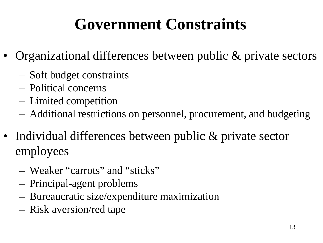### **Government Constraints**

- Organizational differences between public & private sectors
	- Soft budget constraints
	- Political concerns
	- Limited competition
	- Additional restrictions on personnel, procurement, and budgeting
- Individual differences between public & private sector employees
	- Weaker "carrots" and "sticks"
	- Principal-agent problems
	- Bureaucratic size/expenditure maximization
	- Risk aversion/red tape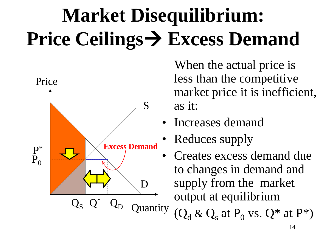# **Market Disequilibrium: Price Ceilings Excess Demand**



When the actual price is less than the competitive market price it is inefficient, as it:

- Increases demand
- Reduces supply
- Creates excess demand due to changes in demand and supply from the market output at equilibrium

 $(Q_d \& Q_s$  at P<sub>0</sub> vs.  $Q^*$  at P<sup>\*</sup>)